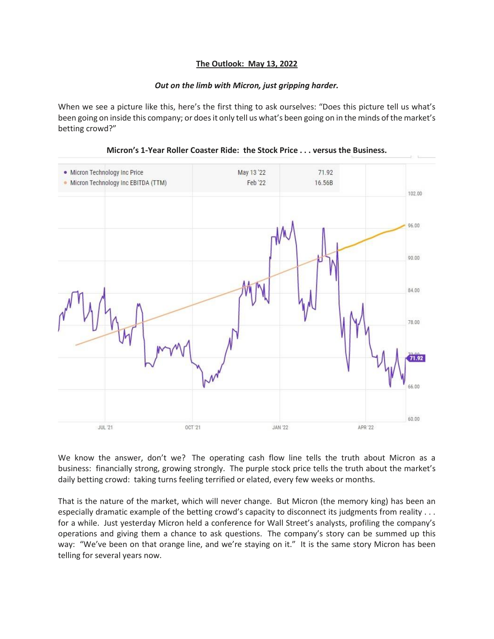## **The Outlook: May 13, 2022**

## *Out on the limb with Micron, just gripping harder.*

When we see a picture like this, here's the first thing to ask ourselves: "Does this picture tell us what's been going on inside this company; or does it only tell us what's been going on in the minds of the market's betting crowd?"



## **Micron's 1-Year Roller Coaster Ride: the Stock Price . . . versus the Business.**

We know the answer, don't we? The operating cash flow line tells the truth about Micron as a business: financially strong, growing strongly. The purple stock price tells the truth about the market's daily betting crowd: taking turns feeling terrified or elated, every few weeks or months.

That is the nature of the market, which will never change. But Micron (the memory king) has been an especially dramatic example of the betting crowd's capacity to disconnect its judgments from reality . . . for a while. Just yesterday Micron held a conference for Wall Street's analysts, profiling the company's operations and giving them a chance to ask questions. The company's story can be summed up this way: "We've been on that orange line, and we're staying on it." It is the same story Micron has been telling for several years now.